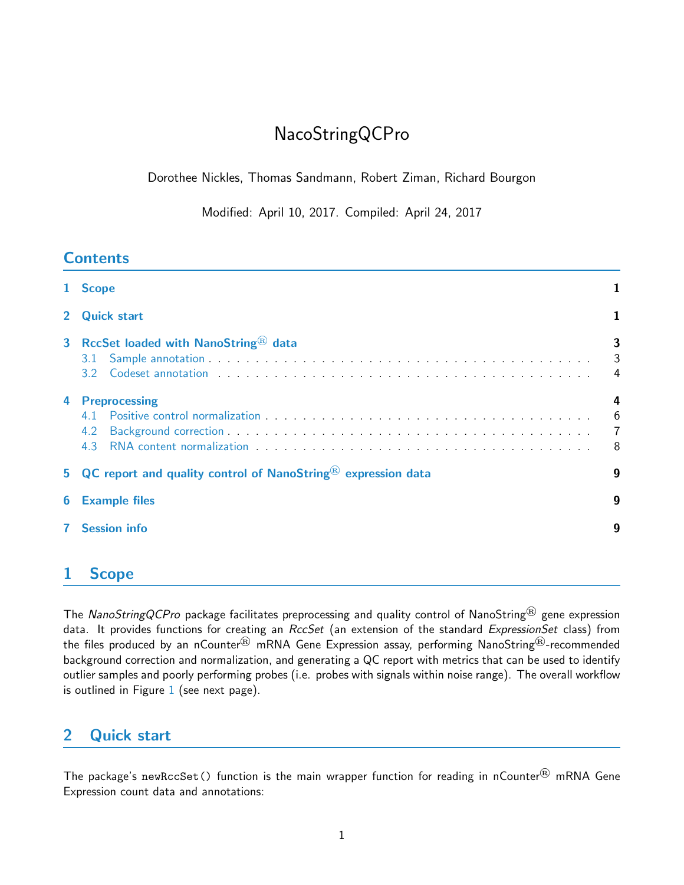# NacoStringQCPro

Dorothee Nickles, Thomas Sandmann, Robert Ziman, Richard Bourgon

Modified: April 10, 2017. Compiled: April 24, 2017

|                | 1 Scope                                                                                                                                                                                                                                                                                          |                                             |
|----------------|--------------------------------------------------------------------------------------------------------------------------------------------------------------------------------------------------------------------------------------------------------------------------------------------------|---------------------------------------------|
| $\overline{2}$ | <b>Quick start</b>                                                                                                                                                                                                                                                                               |                                             |
| 3 <sup>1</sup> | RccSet loaded with NanoString® data<br>3.1<br>Codeset annotation entry respectively. The contract of the contract of the contract of the contract of the contract of the contract of the contract of the contract of the contract of the contract of the contract of the con<br>3.2 <sup>°</sup> | 3<br>$\mathbf{3}$<br>4                      |
| 4              | <b>Preprocessing</b><br>4.1<br>4.2<br>4.3 RNA content normalization enterity and the content of the content of the content of the content of the content of the content of the content of the content of the content of the content of the content of the content of                             | 4<br>$6\phantom{1}6$<br>$\overline{7}$<br>8 |
|                | 5 QC report and quality control of NanoString® expression data                                                                                                                                                                                                                                   | 9                                           |
| 6              | <b>Example files</b>                                                                                                                                                                                                                                                                             | 9                                           |
| $\mathbf{7}$   | <b>Session info</b>                                                                                                                                                                                                                                                                              | 9                                           |
|                |                                                                                                                                                                                                                                                                                                  |                                             |

## <span id="page-0-0"></span>1 Scope

The NanoStringQCPro package facilitates preprocessing and quality control of NanoString<sup>®</sup> gene expression data. It provides functions for creating an RccSet (an extension of the standard ExpressionSet class) from the files produced by an nCounter<sup>®</sup> mRNA Gene Expression assay, performing NanoString<sup>®</sup>-recommended background correction and normalization, and generating a QC report with metrics that can be used to identify outlier samples and poorly performing probes (i.e. probes with signals within noise range). The overall workflow is outlined in Figure  $1$  (see next page).

## <span id="page-0-1"></span>2 Quick start

The package's newRccSet() function is the main wrapper function for reading in nCounter® mRNA Gene Expression count data and annotations: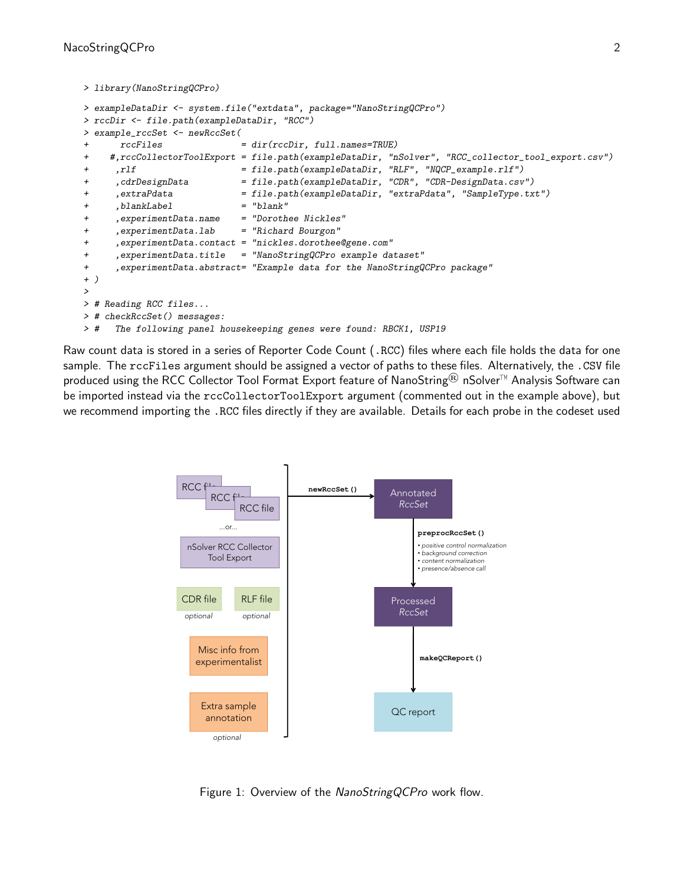```
> library(NanoStringQCPro)
> exampleDataDir <- system.file("extdata", package="NanoStringQCPro")
> rccDir <- file.path(exampleDataDir, "RCC")
> example_rccSet <- newRccSet(
      rccFiles = dir(rccDir, full.name = TRUE)+ #,rccCollectorToolExport = file.path(exampleDataDir, "nSolver", "RCC_collector_tool_export.csv")
+ ,rlf = file.path(exampleDataDir, "RLF", "NQCP_example.rlf")
+ ,cdrDesignData = file.path(exampleDataDir, "CDR", "CDR-DesignData.csv")
+ ,extraPdata = file.path(exampleDataDir, "extraPdata", "SampleType.txt")
+ ,blankLabel = "blank"
     + ,experimentData.name = "Dorothee Nickles"
+ ,experimentData.lab = "Richard Bourgon"
     + ,experimentData.contact = "nickles.dorothee@gene.com"
+ ,experimentData.title = "NanoStringQCPro example dataset"
+ ,experimentData.abstract= "Example data for the NanoStringQCPro package"
+ )
>
> # Reading RCC files...
> # checkRccSet() messages:
> # The following panel housekeeping genes were found: RBCK1, USP19
```
Raw count data is stored in a series of Reporter Code Count (.RCC) files where each file holds the data for one sample. The rccFiles argument should be assigned a vector of paths to these files. Alternatively, the .CSV file produced using the RCC Collector Tool Format Export feature of NanoString<sup>®</sup> nSolver<sup>™</sup> Analysis Software can be imported instead via the rccCollectorToolExport argument (commented out in the example above), but we recommend importing the .RCC files directly if they are available. Details for each probe in the codeset used



Figure 1: Overview of the NanoStringQCPro work flow.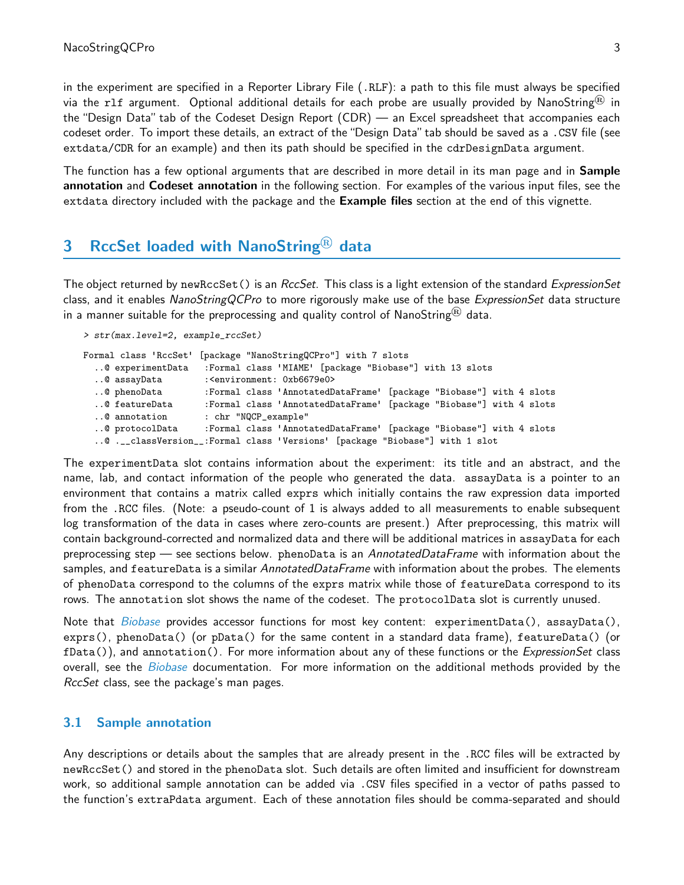in the experiment are specified in a Reporter Library File (.RLF): a path to this file must always be specified via the rlf argument. Optional additional details for each probe are usually provided by NanoString<sup>®</sup> in the "Design Data" tab of the Codeset Design Report (CDR) — an Excel spreadsheet that accompanies each codeset order. To import these details, an extract of the "Design Data" tab should be saved as a .CSV file (see extdata/CDR for an example) and then its path should be specified in the cdrDesignData argument.

The function has a few optional arguments that are described in more detail in its man page and in **Sample** annotation and Codeset annotation in the following section. For examples of the various input files, see the extdata directory included with the package and the Example files section at the end of this vignette.

## <span id="page-2-0"></span>3 RccSet loaded with NanoString $^{(8)}$  data

The object returned by newRccSet() is an RccSet. This class is a light extension of the standard ExpressionSet class, and it enables NanoStringQCPro to more rigorously make use of the base ExpressionSet data structure in a manner suitable for the preprocessing and quality control of NanoString<sup>®</sup> data.

```
> str(max.level=2, example_rccSet)
```

```
Formal class 'RccSet' [package "NanoStringQCPro"] with 7 slots
 ..@ experimentData :Formal class 'MIAME' [package "Biobase"] with 13 slots
 ..@ assayData :<environment: 0xb6679e0>
 ..@ phenoData :Formal class 'AnnotatedDataFrame' [package "Biobase"] with 4 slots
 ..@ featureData :Formal class 'AnnotatedDataFrame' [package "Biobase"] with 4 slots
 ..@ annotation : chr "NQCP_example"
 ..@ protocolData :Formal class 'AnnotatedDataFrame' [package "Biobase"] with 4 slots
  ..@ .__classVersion__:Formal class 'Versions' [package "Biobase"] with 1 slot
```
The experimentData slot contains information about the experiment: its title and an abstract, and the name, lab, and contact information of the people who generated the data. assayData is a pointer to an environment that contains a matrix called exprs which initially contains the raw expression data imported from the .RCC files. (Note: a pseudo-count of 1 is always added to all measurements to enable subsequent log transformation of the data in cases where zero-counts are present.) After preprocessing, this matrix will contain background-corrected and normalized data and there will be additional matrices in assayData for each preprocessing step — see sections below. phenoData is an AnnotatedDataFrame with information about the samples, and featureData is a similar AnnotatedDataFrame with information about the probes. The elements of phenoData correspond to the columns of the exprs matrix while those of featureData correspond to its rows. The annotation slot shows the name of the codeset. The protocolData slot is currently unused.

Note that *[Biobase](http://bioconductor.org/packages/Biobase)* provides accessor functions for most key content: experimentData(), assayData(), exprs(), phenoData() (or pData() for the same content in a standard data frame), featureData() (or  $fData()$ , and annotation(). For more information about any of these functions or the *ExpressionSet* class overall, see the [Biobase](http://bioconductor.org/packages/Biobase) documentation. For more information on the additional methods provided by the RccSet class, see the package's man pages.

#### <span id="page-2-1"></span>3.1 Sample annotation

Any descriptions or details about the samples that are already present in the .RCC files will be extracted by newRccSet() and stored in the phenoData slot. Such details are often limited and insufficient for downstream work, so additional sample annotation can be added via .CSV files specified in a vector of paths passed to the function's extraPdata argument. Each of these annotation files should be comma-separated and should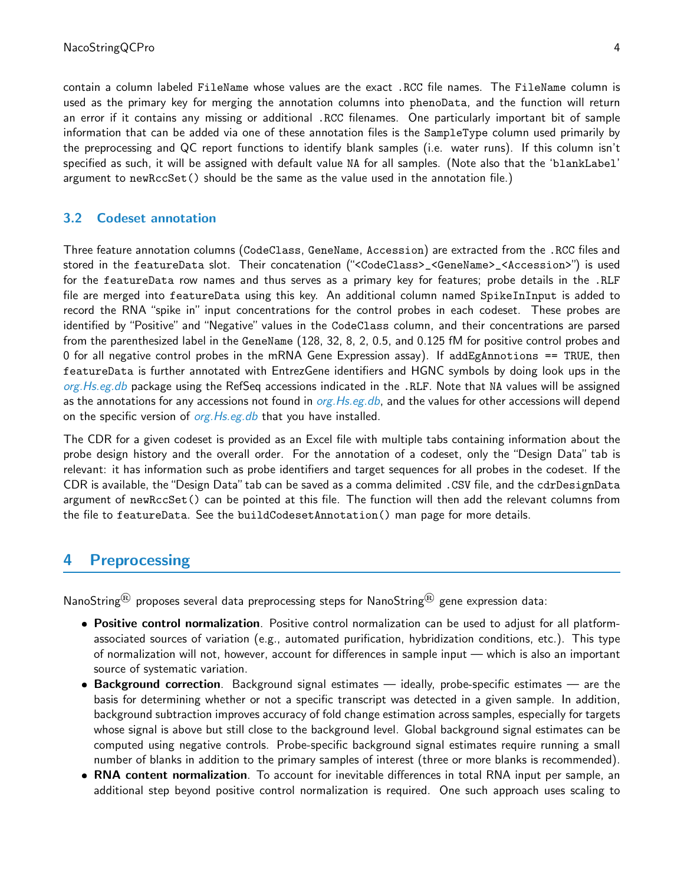contain a column labeled FileName whose values are the exact .RCC file names. The FileName column is used as the primary key for merging the annotation columns into phenoData, and the function will return an error if it contains any missing or additional .RCC filenames. One particularly important bit of sample information that can be added via one of these annotation files is the SampleType column used primarily by the preprocessing and QC report functions to identify blank samples (i.e. water runs). If this column isn't specified as such, it will be assigned with default value NA for all samples. (Note also that the 'blankLabel' argument to newRccSet() should be the same as the value used in the annotation file.)

#### <span id="page-3-0"></span>3.2 Codeset annotation

Three feature annotation columns (CodeClass, GeneName, Accession) are extracted from the .RCC files and stored in the featureData slot. Their concatenation ("<CodeClass>\_<GeneName>\_<Accession>") is used for the featureData row names and thus serves as a primary key for features; probe details in the .RLF file are merged into featureData using this key. An additional column named SpikeInInput is added to record the RNA "spike in" input concentrations for the control probes in each codeset. These probes are identified by "Positive" and "Negative" values in the CodeClass column, and their concentrations are parsed from the parenthesized label in the GeneName (128, 32, 8, 2, 0.5, and 0.125 fM for positive control probes and 0 for all negative control probes in the mRNA Gene Expression assay). If addEgAnnotions == TRUE, then featureData is further annotated with EntrezGene identifiers and HGNC symbols by doing look ups in the org. Hs.eg.db package using the RefSeq accessions indicated in the .RLF. Note that NA values will be assigned as the annotations for any accessions not found in *[org.Hs.eg.db](http://bioconductor.org/packages/org.Hs.eg.db)*, and the values for other accessions will depend on the specific version of org. Hs.eg.db that you have installed.

The CDR for a given codeset is provided as an Excel file with multiple tabs containing information about the probe design history and the overall order. For the annotation of a codeset, only the "Design Data" tab is relevant: it has information such as probe identifiers and target sequences for all probes in the codeset. If the CDR is available, the"Design Data"tab can be saved as a comma delimited .CSV file, and the cdrDesignData argument of newRccSet() can be pointed at this file. The function will then add the relevant columns from the file to featureData. See the buildCodesetAnnotation() man page for more details.

### <span id="page-3-1"></span>4 Preprocessing

NanoString<sup>®</sup> proposes several data preprocessing steps for NanoString<sup>®</sup> gene expression data:

- . Positive control normalization. Positive control normalization can be used to adjust for all platformassociated sources of variation (e.g., automated purification, hybridization conditions, etc.). This type of normalization will not, however, account for differences in sample input — which is also an important source of systematic variation.
- **Background correction**. Background signal estimates ideally, probe-specific estimates are the basis for determining whether or not a specific transcript was detected in a given sample. In addition, background subtraction improves accuracy of fold change estimation across samples, especially for targets whose signal is above but still close to the background level. Global background signal estimates can be computed using negative controls. Probe-specific background signal estimates require running a small number of blanks in addition to the primary samples of interest (three or more blanks is recommended).
- RNA content normalization. To account for inevitable differences in total RNA input per sample, an additional step beyond positive control normalization is required. One such approach uses scaling to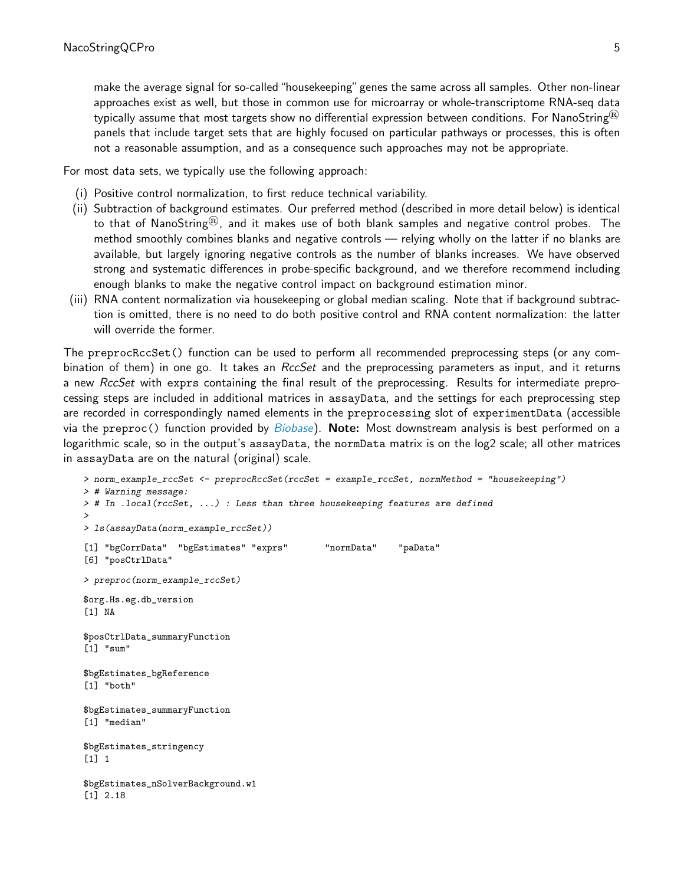make the average signal for so-called"housekeeping"genes the same across all samples. Other non-linear approaches exist as well, but those in common use for microarray or whole-transcriptome RNA-seq data typically assume that most targets show no differential expression between conditions. For NanoString® panels that include target sets that are highly focused on particular pathways or processes, this is often not a reasonable assumption, and as a consequence such approaches may not be appropriate.

For most data sets, we typically use the following approach:

- (i) Positive control normalization, to first reduce technical variability.
- (ii) Subtraction of background estimates. Our preferred method (described in more detail below) is identical to that of NanoString<sup>®</sup>, and it makes use of both blank samples and negative control probes. The method smoothly combines blanks and negative controls — relying wholly on the latter if no blanks are available, but largely ignoring negative controls as the number of blanks increases. We have observed strong and systematic differences in probe-specific background, and we therefore recommend including enough blanks to make the negative control impact on background estimation minor.
- (iii) RNA content normalization via housekeeping or global median scaling. Note that if background subtraction is omitted, there is no need to do both positive control and RNA content normalization: the latter will override the former.

The preprocRccSet() function can be used to perform all recommended preprocessing steps (or any combination of them) in one go. It takes an *RccSet* and the preprocessing parameters as input, and it returns a new RccSet with exprs containing the final result of the preprocessing. Results for intermediate preprocessing steps are included in additional matrices in assayData, and the settings for each preprocessing step are recorded in correspondingly named elements in the preprocessing slot of experimentData (accessible via the preproc() function provided by *[Biobase](http://bioconductor.org/packages/Biobase)*). **Note:** Most downstream analysis is best performed on a logarithmic scale, so in the output's assayData, the normData matrix is on the log2 scale; all other matrices in assayData are on the natural (original) scale.

```
> norm_example_rccSet <- preprocRccSet(rccSet = example_rccSet, normMethod = "housekeeping")
> # Warning message:
> # In .local(rccSet, ...) : Less than three housekeeping features are defined
>
> ls(assayData(norm_example_rccSet))
[1] "bgCorrData" "bgEstimates" "exprs" "normData" "paData"
[6] "posCtrlData"
> preproc(norm_example_rccSet)
$org.Hs.eg.db_version
[1] NA
$posCtrlData_summaryFunction
[1] "sum"
$bgEstimates_bgReference
[1] "both"
$bgEstimates_summaryFunction
[1] "median"
$bgEstimates_stringency
[1] 1
$bgEstimates_nSolverBackground.w1
[1] 2.18
```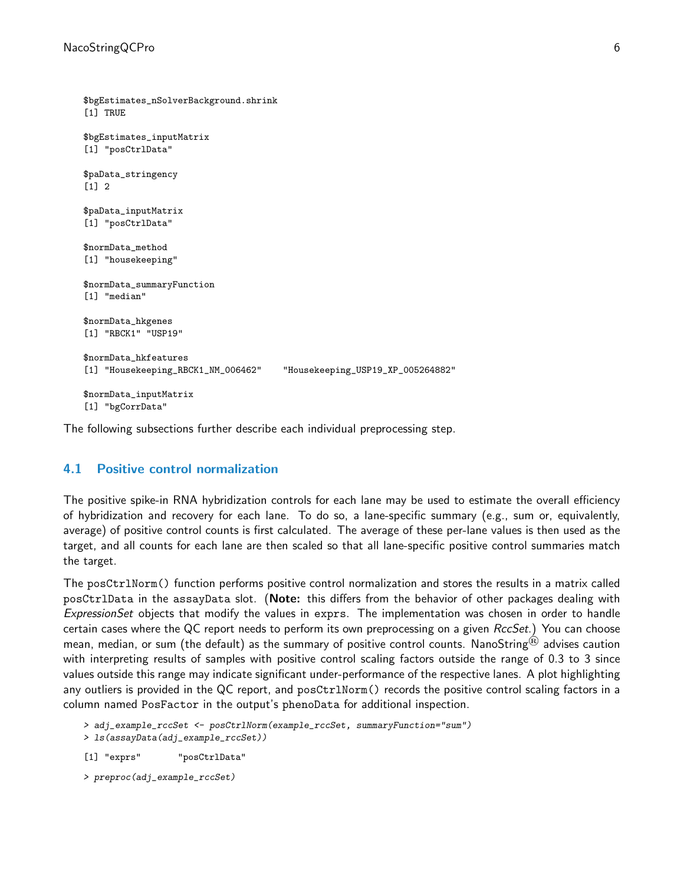```
$bgEstimates_nSolverBackground.shrink
[1] TRUE
$bgEstimates_inputMatrix
[1] "posCtrlData"
$paData_stringency
[1] 2
$paData_inputMatrix
[1] "posCtrlData"
$normData_method
[1] "housekeeping"
$normData_summaryFunction
[1] "median"
$normData_hkgenes
[1] "RBCK1" "USP19"
$normData_hkfeatures
[1] "Housekeeping_RBCK1_NM_006462" "Housekeeping_USP19_XP_005264882"
$normData_inputMatrix
[1] "bgCorrData"
```
The following subsections further describe each individual preprocessing step.

#### <span id="page-5-0"></span>4.1 Positive control normalization

The positive spike-in RNA hybridization controls for each lane may be used to estimate the overall efficiency of hybridization and recovery for each lane. To do so, a lane-specific summary (e.g., sum or, equivalently, average) of positive control counts is first calculated. The average of these per-lane values is then used as the target, and all counts for each lane are then scaled so that all lane-specific positive control summaries match the target.

The posCtrlNorm() function performs positive control normalization and stores the results in a matrix called posCtrlData in the assayData slot. (Note: this differs from the behavior of other packages dealing with ExpressionSet objects that modify the values in exprs. The implementation was chosen in order to handle certain cases where the QC report needs to perform its own preprocessing on a given RccSet.) You can choose mean, median, or sum (the default) as the summary of positive control counts. NanoString<sup>®</sup> advises caution with interpreting results of samples with positive control scaling factors outside the range of 0.3 to 3 since values outside this range may indicate significant under-performance of the respective lanes. A plot highlighting any outliers is provided in the QC report, and posCtrlNorm() records the positive control scaling factors in a column named PosFactor in the output's phenoData for additional inspection.

```
> adj_example_rccSet <- posCtrlNorm(example_rccSet, summaryFunction="sum")
> ls(assayData(adj_example_rccSet))
```

```
[1] "exprs" "posCtrlData"
```

```
> preproc(adj_example_rccSet)
```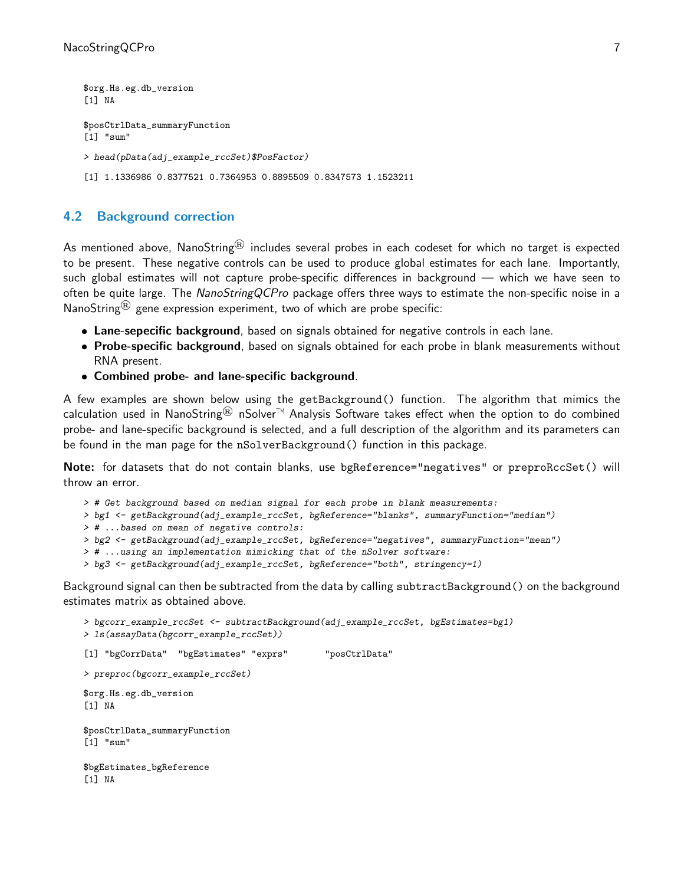```
$org.Hs.eg.db_version
[1] NA
$posCtrlData_summaryFunction
[1] "sum"
> head(pData(adj_example_rccSet)$PosFactor)
[1] 1.1336986 0.8377521 0.7364953 0.8895509 0.8347573 1.1523211
```
#### <span id="page-6-0"></span>4.2 Background correction

As mentioned above, NanoString® includes several probes in each codeset for which no target is expected to be present. These negative controls can be used to produce global estimates for each lane. Importantly, such global estimates will not capture probe-specific differences in background — which we have seen to often be quite large. The NanoStringQCPro package offers three ways to estimate the non-specific noise in a NanoString $<sup>(R)</sup>$  gene expression experiment, two of which are probe specific:</sup>

- **Lane-sepecific background**, based on signals obtained for negative controls in each lane.
- Probe-specific background, based on signals obtained for each probe in blank measurements without RNA present.
- Combined probe- and lane-specific background.

A few examples are shown below using the getBackground() function. The algorithm that mimics the calculation used in NanoString<sup>®</sup> nSolver<sup>™</sup> Analysis Software takes effect when the option to do combined probe- and lane-specific background is selected, and a full description of the algorithm and its parameters can be found in the man page for the nSolverBackground() function in this package.

Note: for datasets that do not contain blanks, use bgReference="negatives" or preproRccSet() will throw an error.

```
> # Get background based on median signal for each probe in blank measurements:
```
- > bg1 <- getBackground(adj\_example\_rccSet, bgReference="blanks", summaryFunction="median")
- > # ...based on mean of negative controls:
- > bg2 <- getBackground(adj\_example\_rccSet, bgReference="negatives", summaryFunction="mean")
- > # ...using an implementation mimicking that of the nSolver software:
- > bg3 <- getBackground(adj\_example\_rccSet, bgReference="both", stringency=1)

Background signal can then be subtracted from the data by calling subtractBackground() on the background estimates matrix as obtained above.

```
> bgcorr_example_rccSet <- subtractBackground(adj_example_rccSet, bgEstimates=bg1)
> ls(assayData(bgcorr_example_rccSet))
[1] "bgCorrData" "bgEstimates" "exprs" "posCtrlData"
> preproc(bgcorr_example_rccSet)
$org.Hs.eg.db_version
[1] NA
$posCtrlData_summaryFunction
[1] "sum"
$bgEstimates_bgReference
[1] NA
```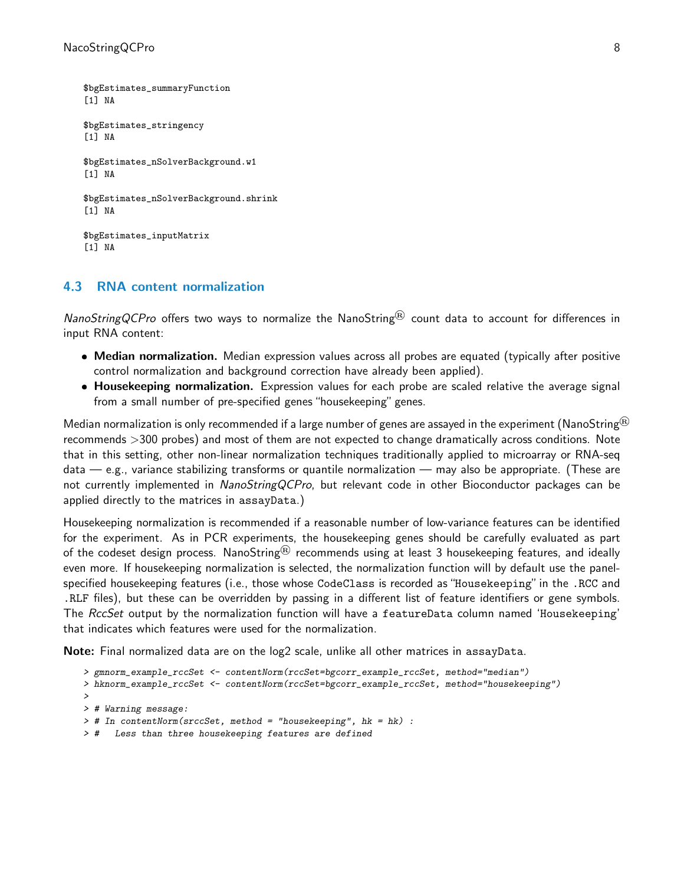```
$bgEstimates_summaryFunction
[1] NA
$bgEstimates_stringency
[1] NA
$bgEstimates_nSolverBackground.w1
[1] NA
$bgEstimates_nSolverBackground.shrink
[1] NA
$bgEstimates_inputMatrix
[1] NA
```
#### <span id="page-7-0"></span>4.3 RNA content normalization

NanoStringQCPro offers two ways to normalize the NanoString<sup>®</sup> count data to account for differences in input RNA content:

- Median normalization. Median expression values across all probes are equated (typically after positive control normalization and background correction have already been applied).
- Housekeeping normalization. Expression values for each probe are scaled relative the average signal from a small number of pre-specified genes "housekeeping" genes.

Median normalization is only recommended if a large number of genes are assayed in the experiment (NanoString<sup>®</sup>) recommends >300 probes) and most of them are not expected to change dramatically across conditions. Note that in this setting, other non-linear normalization techniques traditionally applied to microarray or RNA-seq data — e.g., variance stabilizing transforms or quantile normalization — may also be appropriate. (These are not currently implemented in NanoStringQCPro, but relevant code in other Bioconductor packages can be applied directly to the matrices in assayData.)

Housekeeping normalization is recommended if a reasonable number of low-variance features can be identified for the experiment. As in PCR experiments, the housekeeping genes should be carefully evaluated as part of the codeset design process. NanoString<sup>®</sup> recommends using at least 3 housekeeping features, and ideally even more. If housekeeping normalization is selected, the normalization function will by default use the panelspecified housekeeping features (i.e., those whose CodeClass is recorded as "Housekeeping" in the .RCC and .RLF files), but these can be overridden by passing in a different list of feature identifiers or gene symbols. The RccSet output by the normalization function will have a featureData column named 'Housekeeping' that indicates which features were used for the normalization.

Note: Final normalized data are on the log2 scale, unlike all other matrices in assayData.

```
> gmnorm_example_rccSet <- contentNorm(rccSet=bgcorr_example_rccSet, method="median")
> hknorm_example_rccSet <- contentNorm(rccSet=bgcorr_example_rccSet, method="housekeeping")
>
> # Warning message:
> # In contentNorm(srccSet, method = "housekeeping", hk = hk) :
> # Less than three housekeeping features are defined
```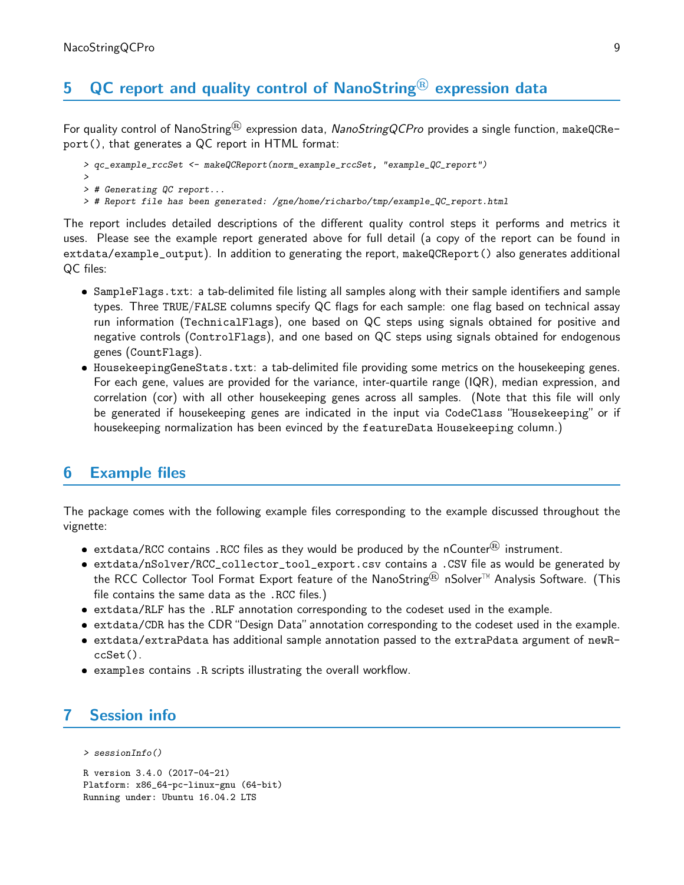## 5  $\,$  QC report and quality control of NanoString<sup>®</sup> expression data

For quality control of NanoString<sup>®</sup> expression data, NanoStringQCPro provides a single function, makeQCReport(), that generates a QC report in HTML format:

```
> qc_example_rccSet <- makeQCReport(norm_example_rccSet, "example_QC_report")
```
- > > # Generating QC report...
- > # Report file has been generated: /gne/home/richarbo/tmp/example\_QC\_report.html

The report includes detailed descriptions of the different quality control steps it performs and metrics it uses. Please see the example report generated above for full detail (a copy of the report can be found in extdata/example\_output). In addition to generating the report, makeQCReport() also generates additional QC files:

- SampleFlags.txt: a tab-delimited file listing all samples along with their sample identifiers and sample types. Three TRUE/FALSE columns specify QC flags for each sample: one flag based on technical assay run information (TechnicalFlags), one based on QC steps using signals obtained for positive and negative controls (ControlFlags), and one based on QC steps using signals obtained for endogenous genes (CountFlags).
- HousekeepingGeneStats.txt: a tab-delimited file providing some metrics on the housekeeping genes. For each gene, values are provided for the variance, inter-quartile range (IQR), median expression, and correlation (cor) with all other housekeeping genes across all samples. (Note that this file will only be generated if housekeeping genes are indicated in the input via CodeClass "Housekeeping" or if housekeeping normalization has been evinced by the featureData Housekeeping column.)

## <span id="page-8-0"></span>6 Example files

The package comes with the following example files corresponding to the example discussed throughout the vignette:

- $\bullet$  extdata/RCC contains .RCC files as they would be produced by the nCounter $^\circledR$  instrument.
- extdata/nSolver/RCC\_collector\_tool\_export.csv contains a .CSV file as would be generated by the RCC Collector Tool Format Export feature of the NanoString<sup>®</sup> nSolver<sup>™</sup> Analysis Software. (This file contains the same data as the .RCC files.)
- extdata/RLF has the .RLF annotation corresponding to the codeset used in the example.
- extdata/CDR has the CDR"Design Data"annotation corresponding to the codeset used in the example.
- extdata/extraPdata has additional sample annotation passed to the extraPdata argument of newRccSet().
- examples contains .R scripts illustrating the overall workflow.

## <span id="page-8-1"></span>7 Session info

```
> sessionInfo()
```

```
R version 3.4.0 (2017-04-21)
Platform: x86_64-pc-linux-gnu (64-bit)
Running under: Ubuntu 16.04.2 LTS
```